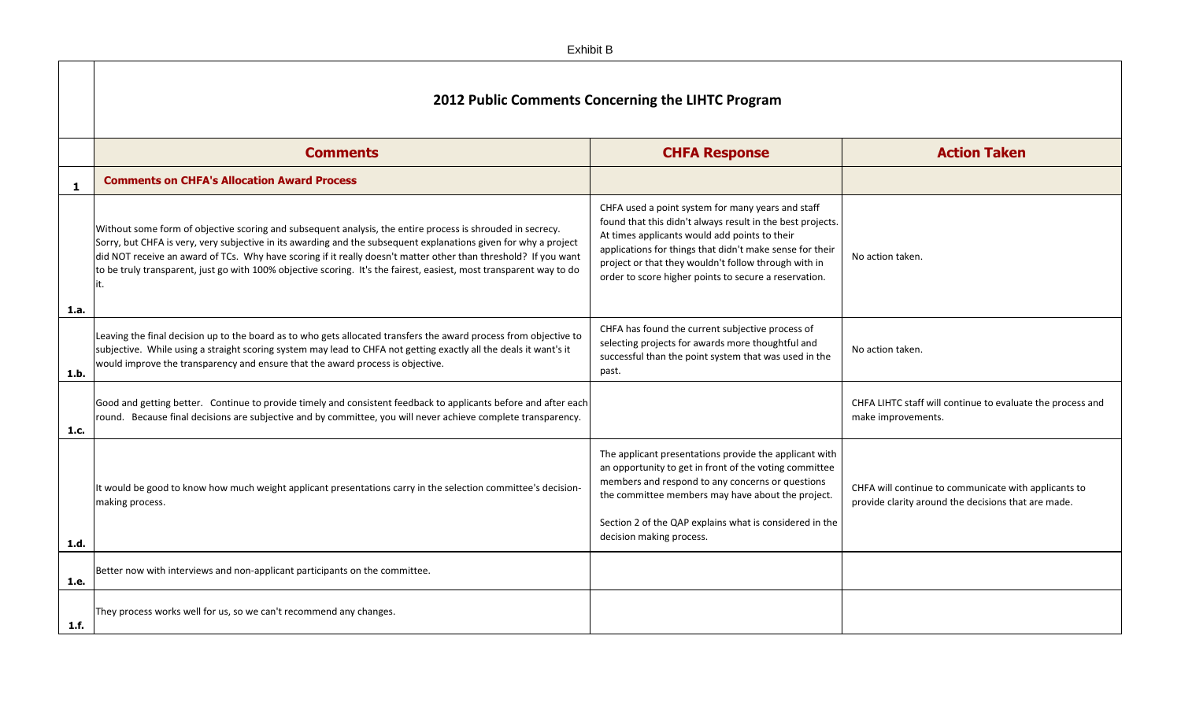|      | 2012 Public Comments Concerning the LIHTC Program                                                                                                                                                                                                                                                                                                                                                                                                                                |                                                                                                                                                                                                                                                                                                                                               |                       |
|------|----------------------------------------------------------------------------------------------------------------------------------------------------------------------------------------------------------------------------------------------------------------------------------------------------------------------------------------------------------------------------------------------------------------------------------------------------------------------------------|-----------------------------------------------------------------------------------------------------------------------------------------------------------------------------------------------------------------------------------------------------------------------------------------------------------------------------------------------|-----------------------|
|      | <b>Comments</b>                                                                                                                                                                                                                                                                                                                                                                                                                                                                  | <b>CHFA Response</b>                                                                                                                                                                                                                                                                                                                          |                       |
| 1    | <b>Comments on CHFA's Allocation Award Process</b>                                                                                                                                                                                                                                                                                                                                                                                                                               |                                                                                                                                                                                                                                                                                                                                               |                       |
| 1.a. | Without some form of objective scoring and subsequent analysis, the entire process is shrouded in secrecy.<br>Sorry, but CHFA is very, very subjective in its awarding and the subsequent explanations given for why a project<br>did NOT receive an award of TCs. Why have scoring if it really doesn't matter other than threshold? If you want<br>to be truly transparent, just go with 100% objective scoring. It's the fairest, easiest, most transparent way to do<br>lit. | CHFA used a point system for many years and staff<br>found that this didn't always result in the best projects.<br>At times applicants would add points to their<br>applications for things that didn't make sense for their<br>project or that they wouldn't follow through with in<br>order to score higher points to secure a reservation. | No ac                 |
| 1.b. | Leaving the final decision up to the board as to who gets allocated transfers the award process from objective to<br>subjective. While using a straight scoring system may lead to CHFA not getting exactly all the deals it want's it<br>would improve the transparency and ensure that the award process is objective.                                                                                                                                                         | CHFA has found the current subjective process of<br>selecting projects for awards more thoughtful and<br>successful than the point system that was used in the<br>past.                                                                                                                                                                       | No ac                 |
| 1.c. | Good and getting better. Continue to provide timely and consistent feedback to applicants before and after each<br>round. Because final decisions are subjective and by committee, you will never achieve complete transparency.                                                                                                                                                                                                                                                 |                                                                                                                                                                                                                                                                                                                                               | <b>CHFA</b><br>make   |
| 1.d. | It would be good to know how much weight applicant presentations carry in the selection committee's decision-<br>making process.                                                                                                                                                                                                                                                                                                                                                 | The applicant presentations provide the applicant with<br>an opportunity to get in front of the voting committee<br>members and respond to any concerns or questions<br>the committee members may have about the project.<br>Section 2 of the QAP explains what is considered in the<br>decision making process.                              | <b>CHFA</b><br>provio |
| 1.e. | Better now with interviews and non-applicant participants on the committee.                                                                                                                                                                                                                                                                                                                                                                                                      |                                                                                                                                                                                                                                                                                                                                               |                       |
| 1.f. | They process works well for us, so we can't recommend any changes.                                                                                                                                                                                                                                                                                                                                                                                                               |                                                                                                                                                                                                                                                                                                                                               |                       |

## **Action Taken**

ction taken.

ction taken.

A LIHTC staff will continue to evaluate the process and e improvements.

A will continue to communicate with applicants to  $\ddot{}$  ride clarity around the decisions that are made.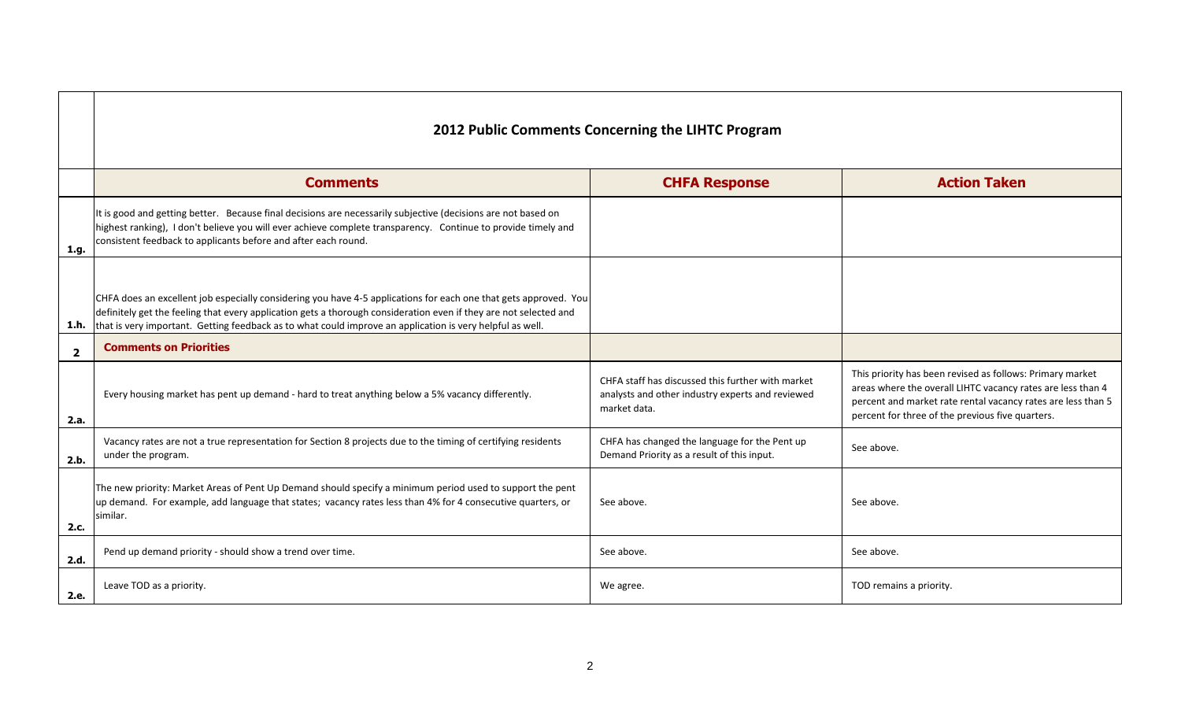|                         | <b>Comments</b>                                                                                                                                                                                                                                                                                                                                    | <b>CHFA Response</b>                                                                                                  | <b>Action Taken</b>                                                                                                                                                          |  |
|-------------------------|----------------------------------------------------------------------------------------------------------------------------------------------------------------------------------------------------------------------------------------------------------------------------------------------------------------------------------------------------|-----------------------------------------------------------------------------------------------------------------------|------------------------------------------------------------------------------------------------------------------------------------------------------------------------------|--|
| 1.g.                    | It is good and getting better. Because final decisions are necessarily subjective (decisions are not based on<br>highest ranking), I don't believe you will ever achieve complete transparency. Continue to provide timely and<br>consistent feedback to applicants before and after each round.                                                   |                                                                                                                       |                                                                                                                                                                              |  |
| 1.h.                    | CHFA does an excellent job especially considering you have 4-5 applications for each one that gets approved. You<br>definitely get the feeling that every application gets a thorough consideration even if they are not selected and<br>that is very important. Getting feedback as to what could improve an application is very helpful as well. |                                                                                                                       |                                                                                                                                                                              |  |
| $\overline{\mathbf{2}}$ | <b>Comments on Priorities</b>                                                                                                                                                                                                                                                                                                                      |                                                                                                                       |                                                                                                                                                                              |  |
| 2.a.                    | Every housing market has pent up demand - hard to treat anything below a 5% vacancy differently.                                                                                                                                                                                                                                                   | CHFA staff has discussed this further with market<br>analysts and other industry experts and reviewed<br>market data. | This priority has been revised as follows<br>areas where the overall LIHTC vacancy re<br>percent and market rate rental vacancy<br>percent for three of the previous five qu |  |
| 2.b.                    | Vacancy rates are not a true representation for Section 8 projects due to the timing of certifying residents<br>under the program.                                                                                                                                                                                                                 | CHFA has changed the language for the Pent up<br>Demand Priority as a result of this input.                           | See above.                                                                                                                                                                   |  |
| 2.c.                    | The new priority: Market Areas of Pent Up Demand should specify a minimum period used to support the pent<br>up demand. For example, add language that states; vacancy rates less than 4% for 4 consecutive quarters, or<br>similar.                                                                                                               | See above.                                                                                                            | See above.                                                                                                                                                                   |  |
| 2.d.                    | Pend up demand priority - should show a trend over time.                                                                                                                                                                                                                                                                                           | See above.                                                                                                            | See above.                                                                                                                                                                   |  |
| 2.e.                    | Leave TOD as a priority.                                                                                                                                                                                                                                                                                                                           | We agree.                                                                                                             | TOD remains a priority.                                                                                                                                                      |  |
|                         |                                                                                                                                                                                                                                                                                                                                                    |                                                                                                                       |                                                                                                                                                                              |  |

| <b>Action Taken</b>                                                                                                                                                                                                                          |
|----------------------------------------------------------------------------------------------------------------------------------------------------------------------------------------------------------------------------------------------|
|                                                                                                                                                                                                                                              |
|                                                                                                                                                                                                                                              |
|                                                                                                                                                                                                                                              |
| This priority has been revised as follows: Primary market<br>areas where the overall LIHTC vacancy rates are less than 4<br>percent and market rate rental vacancy rates are less than 5<br>percent for three of the previous five quarters. |
| See above.                                                                                                                                                                                                                                   |
| See above.                                                                                                                                                                                                                                   |
| See above.                                                                                                                                                                                                                                   |
| TOD remains a priority.                                                                                                                                                                                                                      |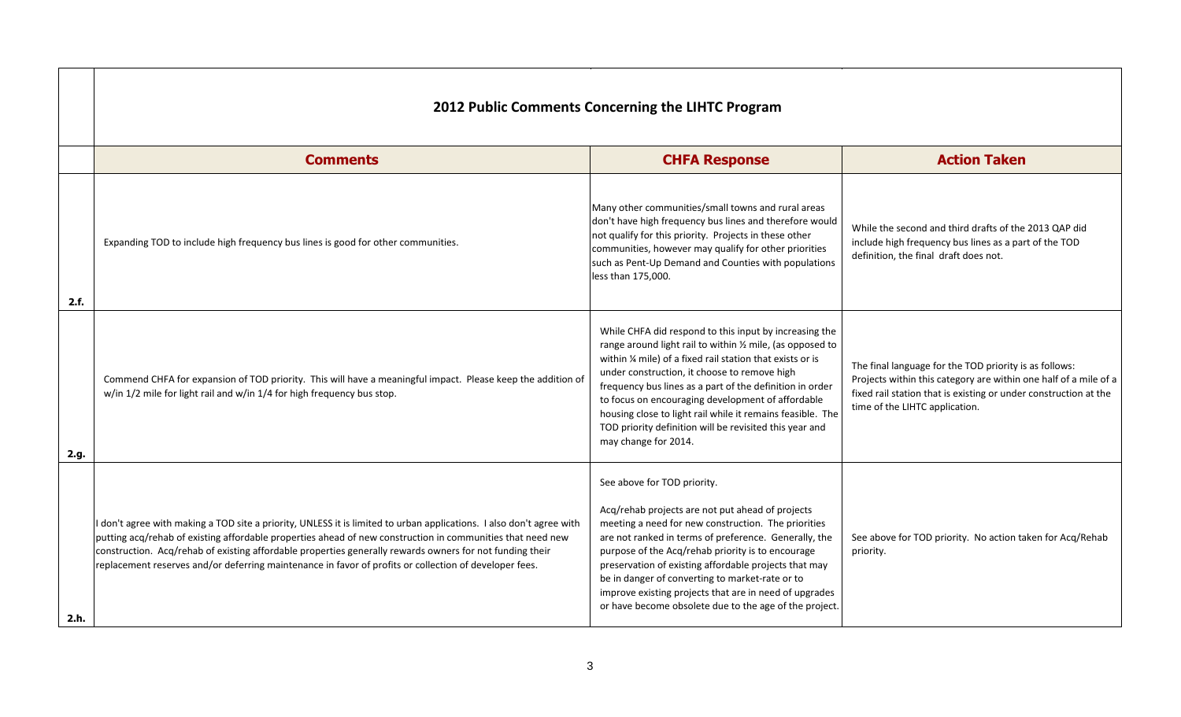|      | <b>2012 Public Comments Concerning the LIHTC Program</b>                                                                                                                                                                                                                                                                                                                                                                                                 |                                                                                                                                                                                                                                                                                                                                                                                                                                                                                                      |                                 |  |
|------|----------------------------------------------------------------------------------------------------------------------------------------------------------------------------------------------------------------------------------------------------------------------------------------------------------------------------------------------------------------------------------------------------------------------------------------------------------|------------------------------------------------------------------------------------------------------------------------------------------------------------------------------------------------------------------------------------------------------------------------------------------------------------------------------------------------------------------------------------------------------------------------------------------------------------------------------------------------------|---------------------------------|--|
|      | <b>Comments</b>                                                                                                                                                                                                                                                                                                                                                                                                                                          | <b>CHFA Response</b>                                                                                                                                                                                                                                                                                                                                                                                                                                                                                 |                                 |  |
| 2.f. | Expanding TOD to include high frequency bus lines is good for other communities.                                                                                                                                                                                                                                                                                                                                                                         | Many other communities/small towns and rural areas<br>don't have high frequency bus lines and therefore would<br>not qualify for this priority. Projects in these other<br>communities, however may qualify for other priorities<br>such as Pent-Up Demand and Counties with populations<br>less than 175,000.                                                                                                                                                                                       | Whil<br>inclu<br>defir          |  |
| 2.g. | Commend CHFA for expansion of TOD priority. This will have a meaningful impact. Please keep the addition of<br>w/in 1/2 mile for light rail and w/in 1/4 for high frequency bus stop.                                                                                                                                                                                                                                                                    | While CHFA did respond to this input by increasing the<br>range around light rail to within 1/2 mile, (as opposed to<br>within 1/4 mile) of a fixed rail station that exists or is<br>under construction, it choose to remove high<br>frequency bus lines as a part of the definition in order<br>to focus on encouraging development of affordable<br>housing close to light rail while it remains feasible. The<br>TOD priority definition will be revisited this year and<br>may change for 2014. | The 1<br>Proje<br>fixed<br>time |  |
| 2.h. | I don't agree with making a TOD site a priority, UNLESS it is limited to urban applications. I also don't agree with<br>putting acq/rehab of existing affordable properties ahead of new construction in communities that need new<br>construction. Acq/rehab of existing affordable properties generally rewards owners for not funding their<br>replacement reserves and/or deferring maintenance in favor of profits or collection of developer fees. | See above for TOD priority.<br>Acq/rehab projects are not put ahead of projects<br>meeting a need for new construction. The priorities<br>are not ranked in terms of preference. Generally, the<br>purpose of the Acq/rehab priority is to encourage<br>preservation of existing affordable projects that may<br>be in danger of converting to market-rate or to<br>improve existing projects that are in need of upgrades<br>or have become obsolete due to the age of the project.                 | See a<br>prior                  |  |

## **Action Taken**

ile the second and third drafts of the 2013 QAP did ude high frequency bus lines as a part of the TOD nition, the final draft does not.

final language for the TOD priority is as follows: jects within this category are within one half of a mile of a I rail station that is existing or under construction at the of the LIHTC application.

above for TOD priority. No action taken for Acq/Rehab prity.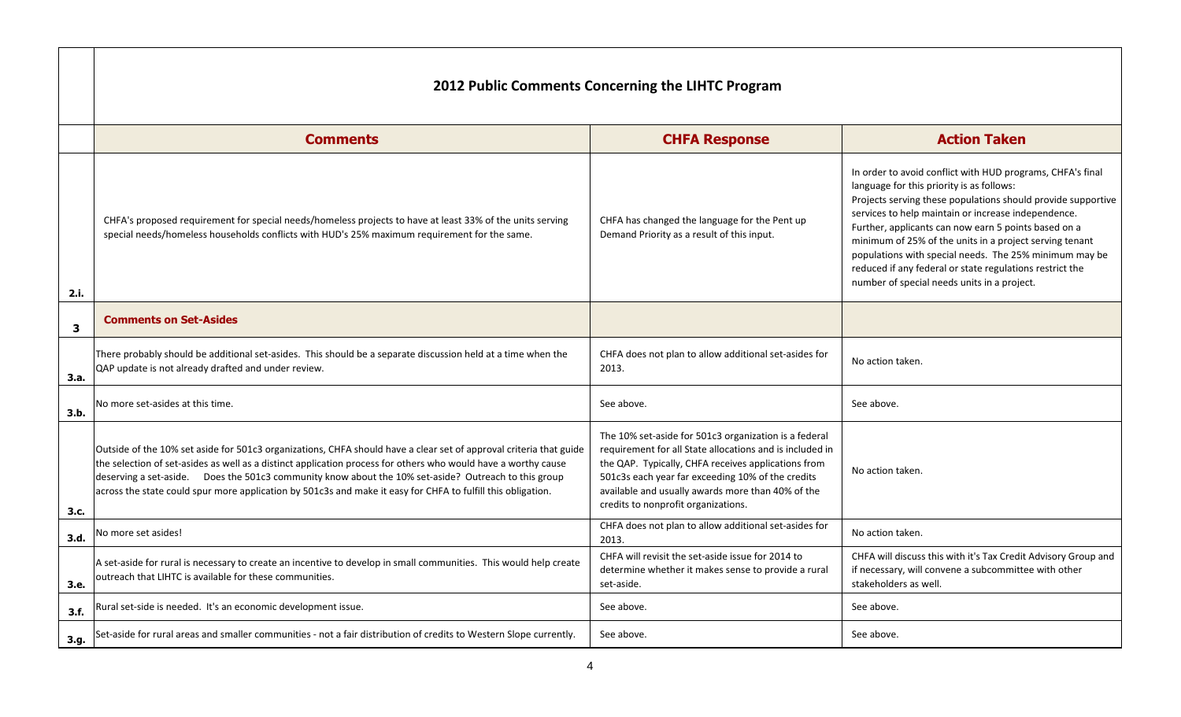|      | <b>Comments</b>                                                                                                                                                                                                                                                                                                                                                                                                                                              | <b>CHFA Response</b>                                                                                                                                                                                                                                                                                                      |                                                                                                                            |
|------|--------------------------------------------------------------------------------------------------------------------------------------------------------------------------------------------------------------------------------------------------------------------------------------------------------------------------------------------------------------------------------------------------------------------------------------------------------------|---------------------------------------------------------------------------------------------------------------------------------------------------------------------------------------------------------------------------------------------------------------------------------------------------------------------------|----------------------------------------------------------------------------------------------------------------------------|
| 2.i. | CHFA's proposed requirement for special needs/homeless projects to have at least 33% of the units serving<br>special needs/homeless households conflicts with HUD's 25% maximum requirement for the same.                                                                                                                                                                                                                                                    | CHFA has changed the language for the Pent up<br>Demand Priority as a result of this input.                                                                                                                                                                                                                               | In order to<br>language f<br>Projects se<br>services to<br>Further, ap<br>minimum<br>population<br>reduced if<br>number of |
| 3    | <b>Comments on Set-Asides</b>                                                                                                                                                                                                                                                                                                                                                                                                                                |                                                                                                                                                                                                                                                                                                                           |                                                                                                                            |
| 3.a. | There probably should be additional set-asides. This should be a separate discussion held at a time when the<br>QAP update is not already drafted and under review.                                                                                                                                                                                                                                                                                          | CHFA does not plan to allow additional set-asides for<br>2013.                                                                                                                                                                                                                                                            | No action t                                                                                                                |
| 3.b. | No more set-asides at this time.                                                                                                                                                                                                                                                                                                                                                                                                                             | See above.                                                                                                                                                                                                                                                                                                                | See above.                                                                                                                 |
| 3.c. | Outside of the 10% set aside for 501c3 organizations, CHFA should have a clear set of approval criteria that guide<br>the selection of set-asides as well as a distinct application process for others who would have a worthy cause<br>deserving a set-aside. Does the 501c3 community know about the 10% set-aside? Outreach to this group<br>across the state could spur more application by 501c3s and make it easy for CHFA to fulfill this obligation. | The 10% set-aside for 501c3 organization is a federal<br>requirement for all State allocations and is included in<br>the QAP. Typically, CHFA receives applications from<br>501c3s each year far exceeding 10% of the credits<br>available and usually awards more than 40% of the<br>credits to nonprofit organizations. | No action t                                                                                                                |
| 3.d. | No more set asides!                                                                                                                                                                                                                                                                                                                                                                                                                                          | CHFA does not plan to allow additional set-asides for<br>2013.                                                                                                                                                                                                                                                            | No action t                                                                                                                |
| 3.e. | A set-aside for rural is necessary to create an incentive to develop in small communities. This would help create<br>outreach that LIHTC is available for these communities.                                                                                                                                                                                                                                                                                 | CHFA will revisit the set-aside issue for 2014 to<br>determine whether it makes sense to provide a rural<br>set-aside.                                                                                                                                                                                                    | CHFA will o<br>if necessar<br>stakeholde                                                                                   |
| 3.f. | Rural set-side is needed. It's an economic development issue.                                                                                                                                                                                                                                                                                                                                                                                                | See above.                                                                                                                                                                                                                                                                                                                | See above.                                                                                                                 |
| 3.g. | Set-aside for rural areas and smaller communities - not a fair distribution of credits to Western Slope currently.                                                                                                                                                                                                                                                                                                                                           | See above.                                                                                                                                                                                                                                                                                                                | See above.                                                                                                                 |

#### **Action Taken**

der to avoid conflict with HUD programs, CHFA's final uage for this priority is as follows: ects serving these populations should provide supportive ices to help maintain or increase independence. her, applicants can now earn 5 points based on a mum of 25% of the units in a project serving tenant ulations with special needs. The 25% minimum may be iced if any federal or state regulations restrict the ber of special needs units in a project.

ction taken.

ction taken.

ction taken.

A will discuss this with it's Tax Credit Advisory Group and cessary, will convene a subcommittee with other eholders as well.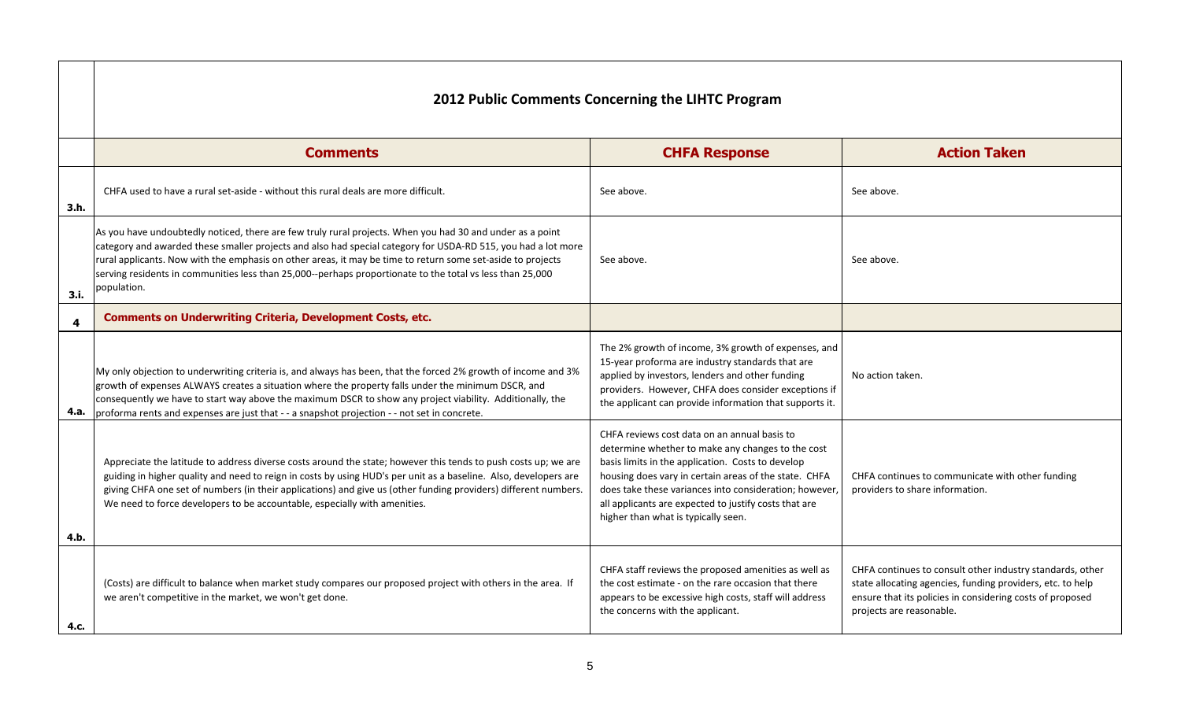|      | 2012 Public Comments Concerning the LIHTC Program                                                                                                                                                                                                                                                                                                                                                                                                                     |                                                                                                                                                                                                                                                                                                                                                                          |                                                                                                                                                                |
|------|-----------------------------------------------------------------------------------------------------------------------------------------------------------------------------------------------------------------------------------------------------------------------------------------------------------------------------------------------------------------------------------------------------------------------------------------------------------------------|--------------------------------------------------------------------------------------------------------------------------------------------------------------------------------------------------------------------------------------------------------------------------------------------------------------------------------------------------------------------------|----------------------------------------------------------------------------------------------------------------------------------------------------------------|
|      | <b>Comments</b>                                                                                                                                                                                                                                                                                                                                                                                                                                                       | <b>CHFA Response</b>                                                                                                                                                                                                                                                                                                                                                     | <b>Action Taken</b>                                                                                                                                            |
| 3.h. | CHFA used to have a rural set-aside - without this rural deals are more difficult.                                                                                                                                                                                                                                                                                                                                                                                    | See above.                                                                                                                                                                                                                                                                                                                                                               | See above.                                                                                                                                                     |
| 3.i. | As you have undoubtedly noticed, there are few truly rural projects. When you had 30 and under as a point<br>category and awarded these smaller projects and also had special category for USDA-RD 515, you had a lot more<br>rural applicants. Now with the emphasis on other areas, it may be time to return some set-aside to projects<br>serving residents in communities less than 25,000--perhaps proportionate to the total vs less than 25,000<br>population. | See above.                                                                                                                                                                                                                                                                                                                                                               | See above.                                                                                                                                                     |
| 4    | <b>Comments on Underwriting Criteria, Development Costs, etc.</b>                                                                                                                                                                                                                                                                                                                                                                                                     |                                                                                                                                                                                                                                                                                                                                                                          |                                                                                                                                                                |
| 4.a. | My only objection to underwriting criteria is, and always has been, that the forced 2% growth of income and 3%<br>growth of expenses ALWAYS creates a situation where the property falls under the minimum DSCR, and<br>consequently we have to start way above the maximum DSCR to show any project viability. Additionally, the<br>proforma rents and expenses are just that - - a snapshot projection - - not set in concrete.                                     | The 2% growth of income, 3% growth of expenses, and<br>15-year proforma are industry standards that are<br>applied by investors, lenders and other funding<br>providers. However, CHFA does consider exceptions if<br>the applicant can provide information that supports it.                                                                                            | No action taken.                                                                                                                                               |
| 4.b. | Appreciate the latitude to address diverse costs around the state; however this tends to push costs up; we are<br>guiding in higher quality and need to reign in costs by using HUD's per unit as a baseline. Also, developers are<br>giving CHFA one set of numbers (in their applications) and give us (other funding providers) different numbers.<br>We need to force developers to be accountable, especially with amenities.                                    | CHFA reviews cost data on an annual basis to<br>determine whether to make any changes to the cost<br>basis limits in the application. Costs to develop<br>housing does vary in certain areas of the state. CHFA<br>does take these variances into consideration; however<br>all applicants are expected to justify costs that are<br>higher than what is typically seen. | CHFA continues to communicate with of<br>providers to share information.                                                                                       |
| 4.c. | (Costs) are difficult to balance when market study compares our proposed project with others in the area. If<br>we aren't competitive in the market, we won't get done.                                                                                                                                                                                                                                                                                               | CHFA staff reviews the proposed amenities as well as<br>the cost estimate - on the rare occasion that there<br>appears to be excessive high costs, staff will address<br>the concerns with the applicant.                                                                                                                                                                | CHFA continues to consult other industr<br>state allocating agencies, funding provid<br>ensure that its policies in considering co<br>projects are reasonable. |

| <b>Action Taken</b>                                                                                                                                                                                              |
|------------------------------------------------------------------------------------------------------------------------------------------------------------------------------------------------------------------|
| See above.                                                                                                                                                                                                       |
| See above.                                                                                                                                                                                                       |
|                                                                                                                                                                                                                  |
| No action taken.                                                                                                                                                                                                 |
| CHFA continues to communicate with other funding<br>providers to share information.                                                                                                                              |
| CHFA continues to consult other industry standards, other<br>state allocating agencies, funding providers, etc. to help<br>ensure that its policies in considering costs of proposed<br>projects are reasonable. |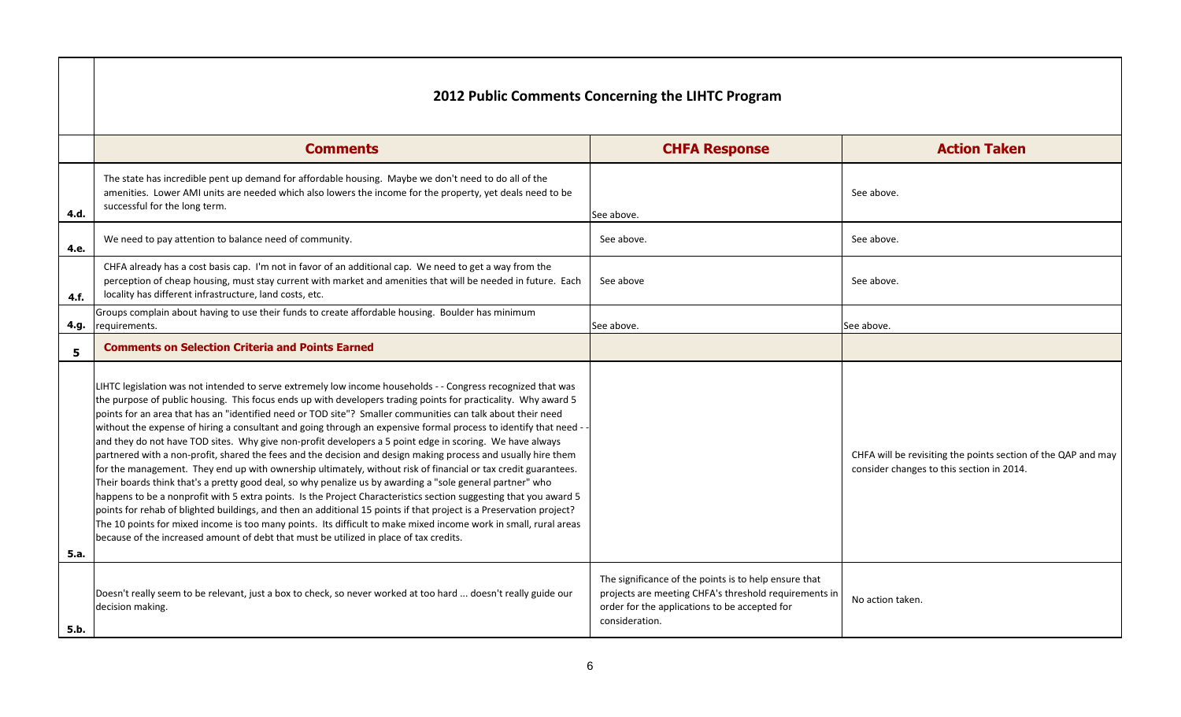| <b>Action Taken</b>                                                                                        |
|------------------------------------------------------------------------------------------------------------|
| See above.                                                                                                 |
| See above.                                                                                                 |
| See above.                                                                                                 |
| ee above.                                                                                                  |
|                                                                                                            |
| CHFA will be revisiting the points section of the QAP and may<br>consider changes to this section in 2014. |
| No action taken.                                                                                           |
|                                                                                                            |

|      | <b>Comments</b>                                                                                                                                                                                                                                                                                                                                                                                                                                                                                                                                                                                                                                                                                                                                                                                                                                                                                                                                                                                                                                                                                                                                                                                                                                                                                                                                                                          | <b>CHFA Response</b>                                                                                                                                                              | <b>Action Taken</b>                                                                    |
|------|------------------------------------------------------------------------------------------------------------------------------------------------------------------------------------------------------------------------------------------------------------------------------------------------------------------------------------------------------------------------------------------------------------------------------------------------------------------------------------------------------------------------------------------------------------------------------------------------------------------------------------------------------------------------------------------------------------------------------------------------------------------------------------------------------------------------------------------------------------------------------------------------------------------------------------------------------------------------------------------------------------------------------------------------------------------------------------------------------------------------------------------------------------------------------------------------------------------------------------------------------------------------------------------------------------------------------------------------------------------------------------------|-----------------------------------------------------------------------------------------------------------------------------------------------------------------------------------|----------------------------------------------------------------------------------------|
| 4.d. | The state has incredible pent up demand for affordable housing. Maybe we don't need to do all of the<br>amenities. Lower AMI units are needed which also lowers the income for the property, yet deals need to be<br>successful for the long term.                                                                                                                                                                                                                                                                                                                                                                                                                                                                                                                                                                                                                                                                                                                                                                                                                                                                                                                                                                                                                                                                                                                                       | See above.                                                                                                                                                                        | See above.                                                                             |
| 4.e. | We need to pay attention to balance need of community.                                                                                                                                                                                                                                                                                                                                                                                                                                                                                                                                                                                                                                                                                                                                                                                                                                                                                                                                                                                                                                                                                                                                                                                                                                                                                                                                   | See above.                                                                                                                                                                        | See above.                                                                             |
| 4.f. | CHFA already has a cost basis cap. I'm not in favor of an additional cap. We need to get a way from the<br>perception of cheap housing, must stay current with market and amenities that will be needed in future. Each<br>locality has different infrastructure, land costs, etc.                                                                                                                                                                                                                                                                                                                                                                                                                                                                                                                                                                                                                                                                                                                                                                                                                                                                                                                                                                                                                                                                                                       | See above                                                                                                                                                                         | See above.                                                                             |
| 4.g. | Groups complain about having to use their funds to create affordable housing. Boulder has minimum<br>requirements.                                                                                                                                                                                                                                                                                                                                                                                                                                                                                                                                                                                                                                                                                                                                                                                                                                                                                                                                                                                                                                                                                                                                                                                                                                                                       | See above.                                                                                                                                                                        | See above.                                                                             |
| 5    | <b>Comments on Selection Criteria and Points Earned</b>                                                                                                                                                                                                                                                                                                                                                                                                                                                                                                                                                                                                                                                                                                                                                                                                                                                                                                                                                                                                                                                                                                                                                                                                                                                                                                                                  |                                                                                                                                                                                   |                                                                                        |
| 5.a. | LIHTC legislation was not intended to serve extremely low income households - - Congress recognized that was<br>the purpose of public housing. This focus ends up with developers trading points for practicality. Why award 5<br>points for an area that has an "identified need or TOD site"? Smaller communities can talk about their need<br>without the expense of hiring a consultant and going through an expensive formal process to identify that need --<br>and they do not have TOD sites. Why give non-profit developers a 5 point edge in scoring. We have always<br>partnered with a non-profit, shared the fees and the decision and design making process and usually hire them<br>for the management. They end up with ownership ultimately, without risk of financial or tax credit guarantees.<br>Their boards think that's a pretty good deal, so why penalize us by awarding a "sole general partner" who<br>happens to be a nonprofit with 5 extra points. Is the Project Characteristics section suggesting that you award 5<br>points for rehab of blighted buildings, and then an additional 15 points if that project is a Preservation project?<br>The 10 points for mixed income is too many points. Its difficult to make mixed income work in small, rural areas<br>because of the increased amount of debt that must be utilized in place of tax credits. |                                                                                                                                                                                   | CHFA will be revisiting the points sectior<br>consider changes to this section in 2014 |
| 5.b. | Doesn't really seem to be relevant, just a box to check, so never worked at too hard  doesn't really guide our<br>decision making.                                                                                                                                                                                                                                                                                                                                                                                                                                                                                                                                                                                                                                                                                                                                                                                                                                                                                                                                                                                                                                                                                                                                                                                                                                                       | The significance of the points is to help ensure that<br>projects are meeting CHFA's threshold requirements in<br>order for the applications to be accepted for<br>consideration. | No action taken.                                                                       |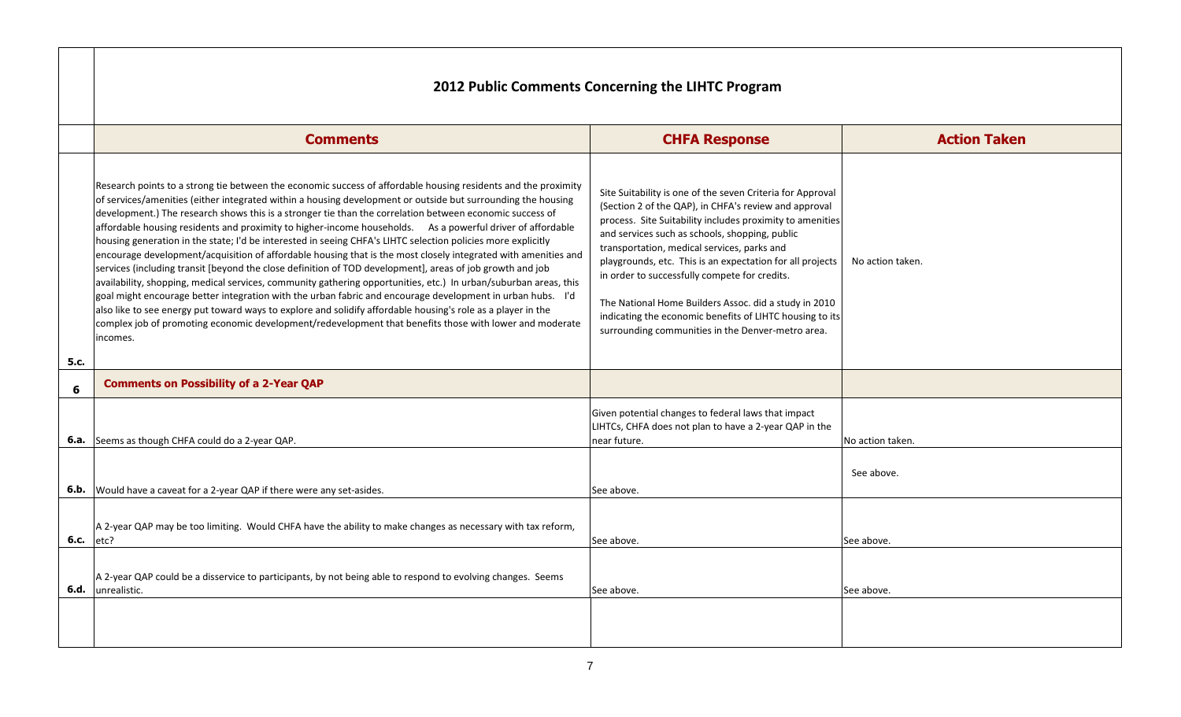|      | <b>Comments</b>                                                                                                                                                                                                                                                                                                                                                                                                                                                                                                                                                                                                                                                                                                                                                                                                                                                                                                                                                                                                                                                                                                                                                                                                                                                                  | <b>CHFA Response</b>                                                                                                                                                                                                                                                                                                                                                                                                                                                                                                                                                      |             |
|------|----------------------------------------------------------------------------------------------------------------------------------------------------------------------------------------------------------------------------------------------------------------------------------------------------------------------------------------------------------------------------------------------------------------------------------------------------------------------------------------------------------------------------------------------------------------------------------------------------------------------------------------------------------------------------------------------------------------------------------------------------------------------------------------------------------------------------------------------------------------------------------------------------------------------------------------------------------------------------------------------------------------------------------------------------------------------------------------------------------------------------------------------------------------------------------------------------------------------------------------------------------------------------------|---------------------------------------------------------------------------------------------------------------------------------------------------------------------------------------------------------------------------------------------------------------------------------------------------------------------------------------------------------------------------------------------------------------------------------------------------------------------------------------------------------------------------------------------------------------------------|-------------|
| 5.c. | Research points to a strong tie between the economic success of affordable housing residents and the proximity<br>of services/amenities (either integrated within a housing development or outside but surrounding the housing<br>development.) The research shows this is a stronger tie than the correlation between economic success of<br>affordable housing residents and proximity to higher-income households. As a powerful driver of affordable<br>housing generation in the state; I'd be interested in seeing CHFA's LIHTC selection policies more explicitly<br>encourage development/acquisition of affordable housing that is the most closely integrated with amenities and<br>services (including transit [beyond the close definition of TOD development], areas of job growth and job<br>availability, shopping, medical services, community gathering opportunities, etc.) In urban/suburban areas, this<br>goal might encourage better integration with the urban fabric and encourage development in urban hubs. I'd<br>also like to see energy put toward ways to explore and solidify affordable housing's role as a player in the<br>complex job of promoting economic development/redevelopment that benefits those with lower and moderate<br>incomes. | Site Suitability is one of the seven Criteria for Approval<br>(Section 2 of the QAP), in CHFA's review and approval<br>process. Site Suitability includes proximity to amenities<br>and services such as schools, shopping, public<br>transportation, medical services, parks and<br>playgrounds, etc. This is an expectation for all projects<br>in order to successfully compete for credits.<br>The National Home Builders Assoc. did a study in 2010<br>indicating the economic benefits of LIHTC housing to its<br>surrounding communities in the Denver-metro area. | No action   |
| 6    | <b>Comments on Possibility of a 2-Year QAP</b>                                                                                                                                                                                                                                                                                                                                                                                                                                                                                                                                                                                                                                                                                                                                                                                                                                                                                                                                                                                                                                                                                                                                                                                                                                   |                                                                                                                                                                                                                                                                                                                                                                                                                                                                                                                                                                           |             |
|      | <b>6.a.</b> Seems as though CHFA could do a 2-year QAP.                                                                                                                                                                                                                                                                                                                                                                                                                                                                                                                                                                                                                                                                                                                                                                                                                                                                                                                                                                                                                                                                                                                                                                                                                          | Given potential changes to federal laws that impact<br>LIHTCs, CHFA does not plan to have a 2-year QAP in the<br>near future.                                                                                                                                                                                                                                                                                                                                                                                                                                             | No action t |
|      | <b>6.b.</b> Would have a caveat for a 2-year QAP if there were any set-asides.                                                                                                                                                                                                                                                                                                                                                                                                                                                                                                                                                                                                                                                                                                                                                                                                                                                                                                                                                                                                                                                                                                                                                                                                   | See above.                                                                                                                                                                                                                                                                                                                                                                                                                                                                                                                                                                | See abov    |
| 6.c. | A 2-year QAP may be too limiting. Would CHFA have the ability to make changes as necessary with tax reform,<br>etc?                                                                                                                                                                                                                                                                                                                                                                                                                                                                                                                                                                                                                                                                                                                                                                                                                                                                                                                                                                                                                                                                                                                                                              | See above.                                                                                                                                                                                                                                                                                                                                                                                                                                                                                                                                                                | See above.  |
|      | A 2-year QAP could be a disservice to participants, by not being able to respond to evolving changes. Seems<br><b>6.d.</b> Junrealistic.                                                                                                                                                                                                                                                                                                                                                                                                                                                                                                                                                                                                                                                                                                                                                                                                                                                                                                                                                                                                                                                                                                                                         | See above.                                                                                                                                                                                                                                                                                                                                                                                                                                                                                                                                                                | See above.  |
|      |                                                                                                                                                                                                                                                                                                                                                                                                                                                                                                                                                                                                                                                                                                                                                                                                                                                                                                                                                                                                                                                                                                                                                                                                                                                                                  |                                                                                                                                                                                                                                                                                                                                                                                                                                                                                                                                                                           |             |

# **Action Taken** action taken. tion taken. above.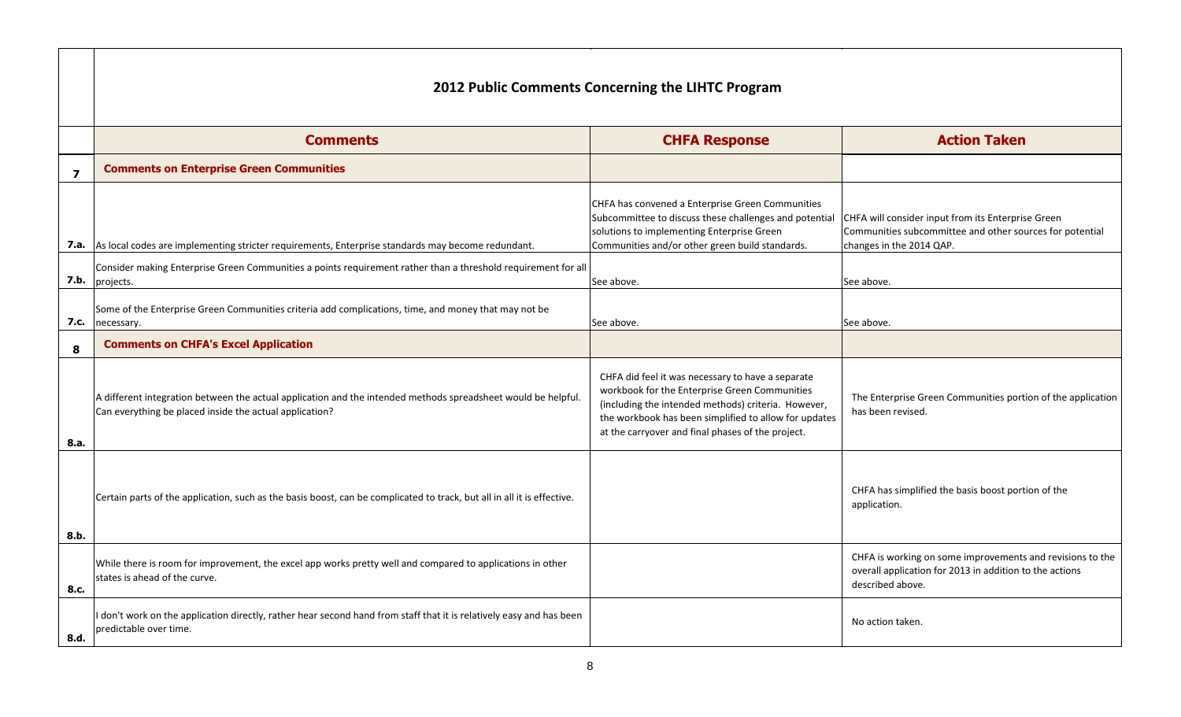|      | <b>Comments</b>                                                                                                                                                          | <b>CHFA Response</b>                                                                                                                                                                                                                                                    |                                                              |
|------|--------------------------------------------------------------------------------------------------------------------------------------------------------------------------|-------------------------------------------------------------------------------------------------------------------------------------------------------------------------------------------------------------------------------------------------------------------------|--------------------------------------------------------------|
| 7    | <b>Comments on Enterprise Green Communities</b>                                                                                                                          |                                                                                                                                                                                                                                                                         |                                                              |
|      | 7.a. As local codes are implementing stricter requirements, Enterprise standards may become redundant.                                                                   | CHFA has convened a Enterprise Green Communities<br>Subcommittee to discuss these challenges and potential<br>solutions to implementing Enterprise Green<br>Communities and/or other green build standards.                                                             | CHFA will consider<br>Communities subo<br>changes in the 20: |
| 7.b. | Consider making Enterprise Green Communities a points requirement rather than a threshold requirement for all<br>projects.                                               | See above.                                                                                                                                                                                                                                                              | See above.                                                   |
| 7.c. | Some of the Enterprise Green Communities criteria add complications, time, and money that may not be<br>necessary.                                                       | See above.                                                                                                                                                                                                                                                              | See above.                                                   |
| 8    | <b>Comments on CHFA's Excel Application</b>                                                                                                                              |                                                                                                                                                                                                                                                                         |                                                              |
| 8.a. | A different integration between the actual application and the intended methods spreadsheet would be helpful.<br>Can everything be placed inside the actual application? | CHFA did feel it was necessary to have a separate<br>workbook for the Enterprise Green Communities<br>(including the intended methods) criteria. However,<br>the workbook has been simplified to allow for updates<br>at the carryover and final phases of the project. | The Enterprise G<br>has been revised                         |
| 8.b. | Certain parts of the application, such as the basis boost, can be complicated to track, but all in all it is effective.                                                  |                                                                                                                                                                                                                                                                         | CHFA has simpli<br>application.                              |
| 8.c. | While there is room for improvement, the excel app works pretty well and compared to applications in other<br>states is ahead of the curve.                              |                                                                                                                                                                                                                                                                         | CHFA is working<br>overall applicatio<br>described above     |
| 8.d. | don't work on the application directly, rather hear second hand from staff that it is relatively easy and has been<br>predictable over time.                             |                                                                                                                                                                                                                                                                         | No action taken.                                             |

#### **Action Taken**

will consider input from its Enterprise Green nunities subcommittee and other sources for potential ges in the 2014 QAP.

**Enterprise Green Communities portion of the application** been revised.

A has simplified the basis boost portion of the it is all it is effective. lication.

A is working on some improvements and revisions to the rall application for 2013 in addition to the actions cribed above.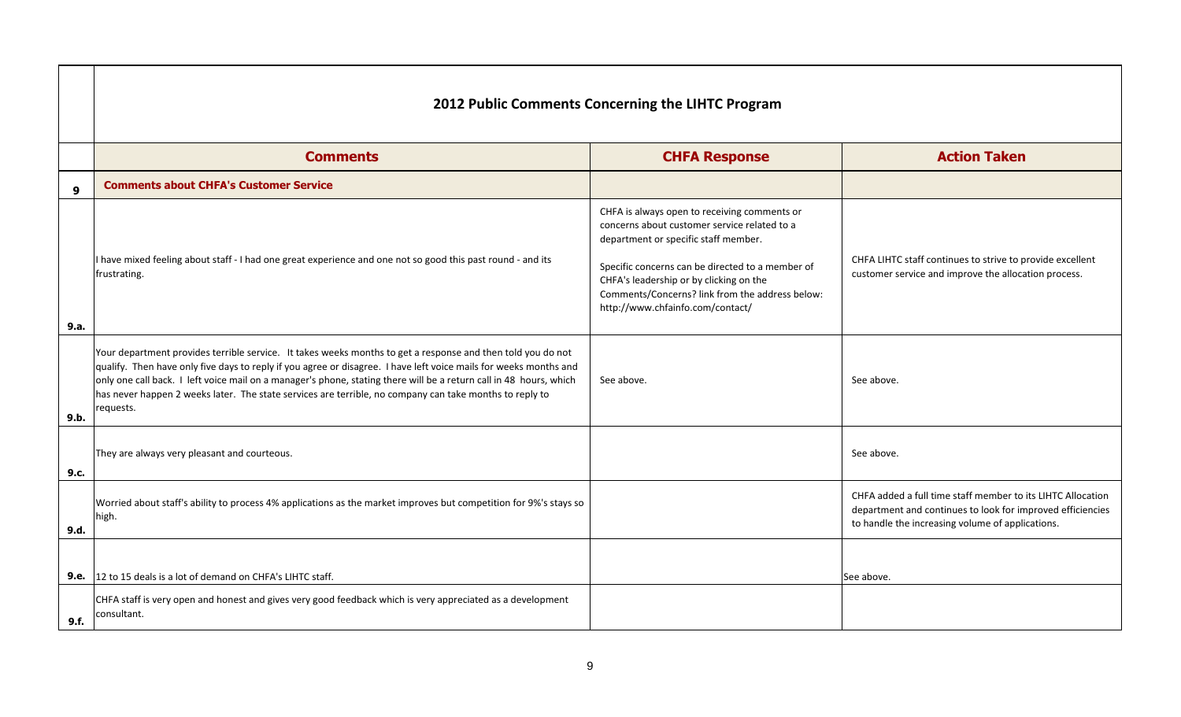|                  | 2012 Public Comments Concerning the LIHTC Program                                                                                                                                                                                                                                                                                                                                                                                                                              |                                                                                                                                                                                                                                                                                                                            |                                                                                                                               |  |
|------------------|--------------------------------------------------------------------------------------------------------------------------------------------------------------------------------------------------------------------------------------------------------------------------------------------------------------------------------------------------------------------------------------------------------------------------------------------------------------------------------|----------------------------------------------------------------------------------------------------------------------------------------------------------------------------------------------------------------------------------------------------------------------------------------------------------------------------|-------------------------------------------------------------------------------------------------------------------------------|--|
|                  | <b>Comments</b>                                                                                                                                                                                                                                                                                                                                                                                                                                                                | <b>CHFA Response</b>                                                                                                                                                                                                                                                                                                       | <b>Action Taken</b>                                                                                                           |  |
| $\boldsymbol{9}$ | <b>Comments about CHFA's Customer Service</b>                                                                                                                                                                                                                                                                                                                                                                                                                                  |                                                                                                                                                                                                                                                                                                                            |                                                                                                                               |  |
| 9.a.             | I have mixed feeling about staff - I had one great experience and one not so good this past round - and its<br>frustrating.                                                                                                                                                                                                                                                                                                                                                    | CHFA is always open to receiving comments or<br>concerns about customer service related to a<br>department or specific staff member.<br>Specific concerns can be directed to a member of<br>CHFA's leadership or by clicking on the<br>Comments/Concerns? link from the address below:<br>http://www.chfainfo.com/contact/ | CHFA LIHTC staff continues to strive to p<br>customer service and improve the alloca                                          |  |
| 9.b.             | Your department provides terrible service. It takes weeks months to get a response and then told you do not<br>qualify. Then have only five days to reply if you agree or disagree. I have left voice mails for weeks months and<br>only one call back. I left voice mail on a manager's phone, stating there will be a return call in 48 hours, which<br>has never happen 2 weeks later. The state services are terrible, no company can take months to reply to<br>requests. | See above.                                                                                                                                                                                                                                                                                                                 | See above.                                                                                                                    |  |
| 9.c.             | They are always very pleasant and courteous.                                                                                                                                                                                                                                                                                                                                                                                                                                   |                                                                                                                                                                                                                                                                                                                            | See above.                                                                                                                    |  |
| 9.d.             | Worried about staff's ability to process 4% applications as the market improves but competition for 9%'s stays so<br>high.                                                                                                                                                                                                                                                                                                                                                     |                                                                                                                                                                                                                                                                                                                            | CHFA added a full time staff member to<br>department and continues to look for in<br>to handle the increasing volume of appli |  |
| 9.e.<br>9.f.     | 12 to 15 deals is a lot of demand on CHFA's LIHTC staff.<br>CHFA staff is very open and honest and gives very good feedback which is very appreciated as a development<br>consultant.                                                                                                                                                                                                                                                                                          |                                                                                                                                                                                                                                                                                                                            | See above.                                                                                                                    |  |

 $\blacksquare$ 

| <b>Action Taken</b>                                                                                                                                                           |
|-------------------------------------------------------------------------------------------------------------------------------------------------------------------------------|
|                                                                                                                                                                               |
| CHFA LIHTC staff continues to strive to provide excellent<br>customer service and improve the allocation process.                                                             |
| See above.                                                                                                                                                                    |
| See above.                                                                                                                                                                    |
| CHFA added a full time staff member to its LIHTC Allocation<br>department and continues to look for improved efficiencies<br>to handle the increasing volume of applications. |
| ee above.                                                                                                                                                                     |
|                                                                                                                                                                               |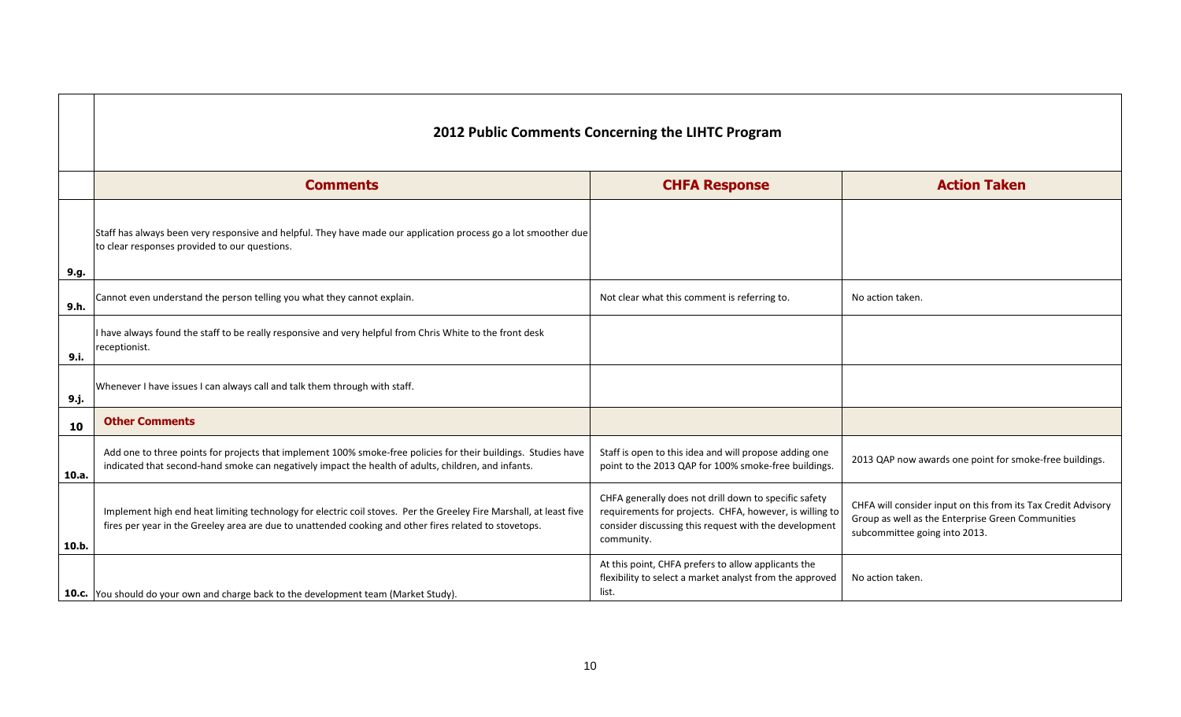|       | <b>2012 Public Comments Concerning the LIHTC Program</b>                                                                                                                                                                     |                                                                                                                                                                                         |                                                                                                                                                    |  |  |  |  |
|-------|------------------------------------------------------------------------------------------------------------------------------------------------------------------------------------------------------------------------------|-----------------------------------------------------------------------------------------------------------------------------------------------------------------------------------------|----------------------------------------------------------------------------------------------------------------------------------------------------|--|--|--|--|
|       | <b>Comments</b>                                                                                                                                                                                                              | <b>CHFA Response</b>                                                                                                                                                                    | <b>Action Taken</b>                                                                                                                                |  |  |  |  |
| 9.g.  | Staff has always been very responsive and helpful. They have made our application process go a lot smoother due<br>to clear responses provided to our questions.                                                             |                                                                                                                                                                                         |                                                                                                                                                    |  |  |  |  |
| 9.h.  | Cannot even understand the person telling you what they cannot explain.                                                                                                                                                      | Not clear what this comment is referring to.                                                                                                                                            | No action taken.                                                                                                                                   |  |  |  |  |
| 9.i.  | I have always found the staff to be really responsive and very helpful from Chris White to the front desk<br>receptionist.                                                                                                   |                                                                                                                                                                                         |                                                                                                                                                    |  |  |  |  |
| 9.j.  | Whenever I have issues I can always call and talk them through with staff.                                                                                                                                                   |                                                                                                                                                                                         |                                                                                                                                                    |  |  |  |  |
| 10    | <b>Other Comments</b>                                                                                                                                                                                                        |                                                                                                                                                                                         |                                                                                                                                                    |  |  |  |  |
| 10.a. | Add one to three points for projects that implement 100% smoke-free policies for their buildings. Studies have<br>indicated that second-hand smoke can negatively impact the health of adults, children, and infants.        | Staff is open to this idea and will propose adding one<br>point to the 2013 QAP for 100% smoke-free buildings.                                                                          | 2013 QAP now awards one point for smoke-free buildings.                                                                                            |  |  |  |  |
| 10.b. | Implement high end heat limiting technology for electric coil stoves. Per the Greeley Fire Marshall, at least five<br>fires per year in the Greeley area are due to unattended cooking and other fires related to stovetops. | CHFA generally does not drill down to specific safety<br>requirements for projects. CHFA, however, is willing to<br>consider discussing this request with the development<br>community. | CHFA will consider input on this from its Tax Credit Advisor<br>Group as well as the Enterprise Green Communities<br>subcommittee going into 2013. |  |  |  |  |
|       | 10.c. You should do your own and charge back to the development team (Market Study).                                                                                                                                         | At this point, CHFA prefers to allow applicants the<br>flexibility to select a market analyst from the approved<br>list.                                                                | No action taken.                                                                                                                                   |  |  |  |  |

| <b>Action Taken</b>                                                                                                                                 |  |  |  |  |  |
|-----------------------------------------------------------------------------------------------------------------------------------------------------|--|--|--|--|--|
|                                                                                                                                                     |  |  |  |  |  |
| No action taken.                                                                                                                                    |  |  |  |  |  |
|                                                                                                                                                     |  |  |  |  |  |
|                                                                                                                                                     |  |  |  |  |  |
|                                                                                                                                                     |  |  |  |  |  |
| 2013 QAP now awards one point for smoke-free buildings.                                                                                             |  |  |  |  |  |
| CHFA will consider input on this from its Tax Credit Advisory<br>Group as well as the Enterprise Green Communities<br>subcommittee going into 2013. |  |  |  |  |  |
| No action taken.                                                                                                                                    |  |  |  |  |  |